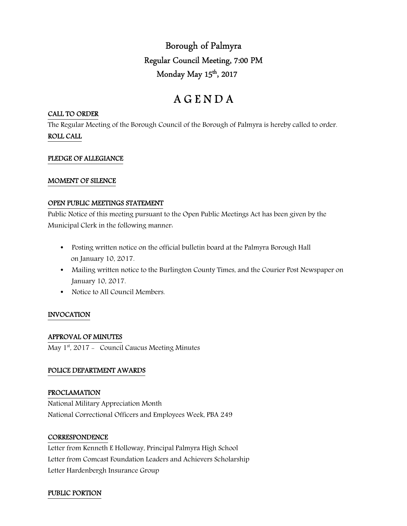Borough of Palmyra Regular Council Meeting, 7:00 PM Monday May 15<sup>th</sup>, 2017

# A G E N D A

## CALL TO ORDER

The Regular Meeting of the Borough Council of the Borough of Palmyra is hereby called to order. ROLL CALL

## PLEDGE OF ALLEGIANCE

## MOMENT OF SILENCE

## OPEN PUBLIC MEETINGS STATEMENT

Public Notice of this meeting pursuant to the Open Public Meetings Act has been given by the Municipal Clerk in the following manner:

- Posting written notice on the official bulletin board at the Palmyra Borough Hall on January 10, 2017.
- Mailing written notice to the Burlington County Times, and the Courier Post Newspaper on January 10, 2017.
- Notice to All Council Members.

# INVOCATION

# APPROVAL OF MINUTES

May 1<sup>st</sup>, 2017 - Council Caucus Meeting Minutes

# POLICE DEPARTMENT AWARDS

## PROCLAMATION

National Military Appreciation Month National Correctional Officers and Employees Week, PBA 249

## **CORRESPONDENCE**

Letter from Kenneth E Holloway, Principal Palmyra High School Letter from Comcast Foundation Leaders and Achievers Scholarship Letter Hardenbergh Insurance Group

## PUBLIC PORTION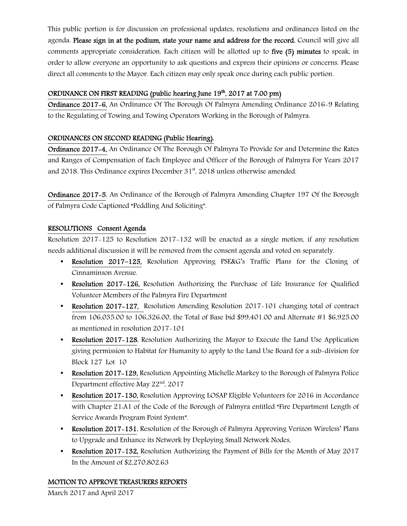This public portion is for discussion on professional updates, resolutions and ordinances listed on the agenda. Please sign in at the podium, state your name and address for the record. Council will give all comments appropriate consideration. Each citizen will be allotted up to five (5) minutes to speak, in order to allow everyone an opportunity to ask questions and express their opinions or concerns. Please direct all comments to the Mayor. Each citizen may only speak once during each public portion.

# ORDINANCE ON FIRST READING (public hearing June 19<sup>th</sup>, 2017 at 7:00 pm)

Ordinance 2017-6, An Ordinance Of The Borough Of Palmyra Amending Ordinance 2016-9 Relating to the Regulating of Towing and Towing Operators Working in the Borough of Palmyra.

# ORDINANCES ON SECOND READING (Public Hearing).

Ordinance 2017-4, An Ordinance Of The Borough Of Palmyra To Provide for and Determine the Rates and Ranges of Compensation of Each Employee and Officer of the Borough of Palmyra For Years 2017 and 2018. This Ordinance expires December  $31<sup>st</sup>$ , 2018 unless otherwise amended.

Ordinance 2017-5, An Ordinance of the Borough of Palmyra Amending Chapter 197 Of the Borough of Palmyra Code Captioned "Peddling And Soliciting".

# RESOLUTIONS Consent Agenda

Resolution 2017-125 to Resolution 2017-132 will be enacted as a single motion, if any resolution needs additional discussion it will be removed from the consent agenda and voted on separately.

- Resolution 2017–125, Resolution Approving PSE&G's Traffic Plans for the Closing of Cinnaminson Avenue.
- Resolution 2017–126, Resolution Authorizing the Purchase of Life Insurance for Qualified Volunteer Members of the Palmyra Fire Department
- Resolution 2017-127, Resolution Amending Resolution 2017-101 changing total of contract from 106,035.00 to 106,326.00, the Total of Base bid \$99,401.00 and Alternate #1 \$6,925.00 as mentioned in resolution 2017-101
- Resolution 2017-128, Resolution Authorizing the Mayor to Execute the Land Use Application giving permission to Habitat for Humanity to apply to the Land Use Board for a sub-division for Block 127 Lot 10
- Resolution 2017–129, Resolution Appointing Michelle Markey to the Borough of Palmyra Police Department effective May 22<sup>nd</sup>, 2017
- Resolution 2017-130, Resolution Approving LOSAP Eligible Volunteers for 2016 in Accordance with Chapter 21:A1 of the Code of the Borough of Palmyra entitled "Fire Department Length of Service Awards Program Point System".
- Resolution 2017–131, Resolution of the Borough of Palmyra Approving Verizon Wireless' Plans to Upgrade and Enhance its Network by Deploying Small Network Nodes.
- Resolution 2017–132, Resolution Authorizing the Payment of Bills for the Month of May 2017 In the Amount of \$2,270,802.63

# MOTION TO APPROVE TREASURERS REPORTS

March 2017 and April 2017